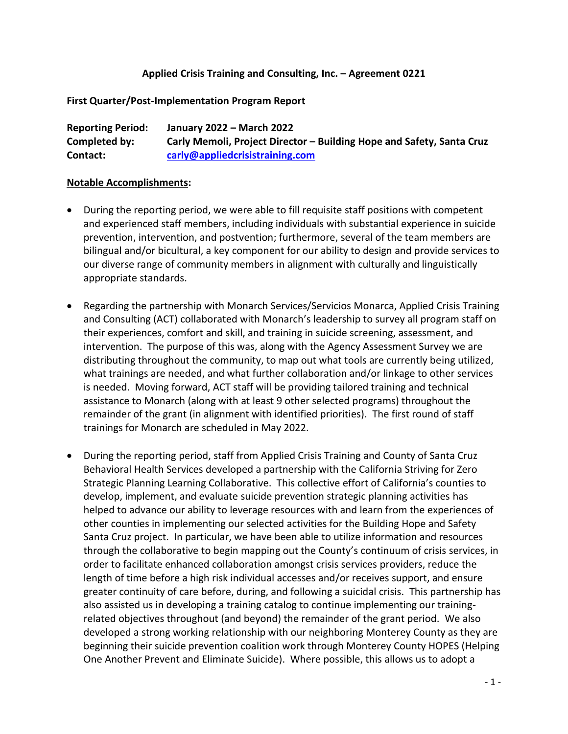#### **Applied Crisis Training and Consulting, Inc. – Agreement 0221**

#### **First Quarter/Post-Implementation Program Report**

| <b>Reporting Period:</b> | January 2022 - March 2022                                             |
|--------------------------|-----------------------------------------------------------------------|
| Completed by:            | Carly Memoli, Project Director - Building Hope and Safety, Santa Cruz |
| Contact:                 | carly@appliedcrisistraining.com                                       |

#### **Notable Accomplishments:**

- During the reporting period, we were able to fill requisite staff positions with competent and experienced staff members, including individuals with substantial experience in suicide prevention, intervention, and postvention; furthermore, several of the team members are bilingual and/or bicultural, a key component for our ability to design and provide services to our diverse range of community members in alignment with culturally and linguistically appropriate standards.
- Regarding the partnership with Monarch Services/Servicios Monarca, Applied Crisis Training and Consulting (ACT) collaborated with Monarch's leadership to survey all program staff on their experiences, comfort and skill, and training in suicide screening, assessment, and intervention. The purpose of this was, along with the Agency Assessment Survey we are distributing throughout the community, to map out what tools are currently being utilized, what trainings are needed, and what further collaboration and/or linkage to other services is needed. Moving forward, ACT staff will be providing tailored training and technical assistance to Monarch (along with at least 9 other selected programs) throughout the remainder of the grant (in alignment with identified priorities). The first round of staff trainings for Monarch are scheduled in May 2022.
- During the reporting period, staff from Applied Crisis Training and County of Santa Cruz Behavioral Health Services developed a partnership with the California Striving for Zero Strategic Planning Learning Collaborative. This collective effort of California's counties to develop, implement, and evaluate suicide prevention strategic planning activities has helped to advance our ability to leverage resources with and learn from the experiences of other counties in implementing our selected activities for the Building Hope and Safety Santa Cruz project. In particular, we have been able to utilize information and resources through the collaborative to begin mapping out the County's continuum of crisis services, in order to facilitate enhanced collaboration amongst crisis services providers, reduce the length of time before a high risk individual accesses and/or receives support, and ensure greater continuity of care before, during, and following a suicidal crisis. This partnership has also assisted us in developing a training catalog to continue implementing our trainingrelated objectives throughout (and beyond) the remainder of the grant period. We also developed a strong working relationship with our neighboring Monterey County as they are beginning their suicide prevention coalition work through Monterey County HOPES (Helping One Another Prevent and Eliminate Suicide). Where possible, this allows us to adopt a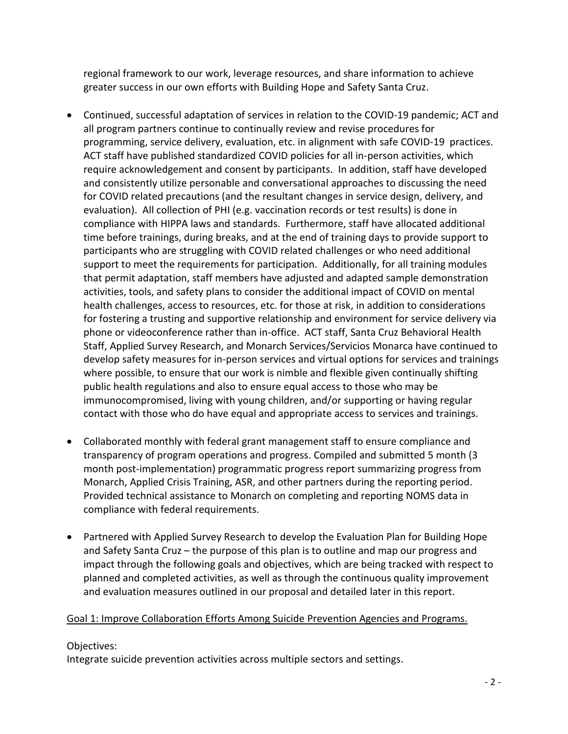regional framework to our work, leverage resources, and share information to achieve greater success in our own efforts with Building Hope and Safety Santa Cruz.

- Continued, successful adaptation of services in relation to the COVID-19 pandemic; ACT and all program partners continue to continually review and revise procedures for programming, service delivery, evaluation, etc. in alignment with safe COVID-19 practices. ACT staff have published standardized COVID policies for all in-person activities, which require acknowledgement and consent by participants. In addition, staff have developed and consistently utilize personable and conversational approaches to discussing the need for COVID related precautions (and the resultant changes in service design, delivery, and evaluation). All collection of PHI (e.g. vaccination records or test results) is done in compliance with HIPPA laws and standards. Furthermore, staff have allocated additional time before trainings, during breaks, and at the end of training days to provide support to participants who are struggling with COVID related challenges or who need additional support to meet the requirements for participation. Additionally, for all training modules that permit adaptation, staff members have adjusted and adapted sample demonstration activities, tools, and safety plans to consider the additional impact of COVID on mental health challenges, access to resources, etc. for those at risk, in addition to considerations for fostering a trusting and supportive relationship and environment for service delivery via phone or videoconference rather than in-office. ACT staff, Santa Cruz Behavioral Health Staff, Applied Survey Research, and Monarch Services/Servicios Monarca have continued to develop safety measures for in-person services and virtual options for services and trainings where possible, to ensure that our work is nimble and flexible given continually shifting public health regulations and also to ensure equal access to those who may be immunocompromised, living with young children, and/or supporting or having regular contact with those who do have equal and appropriate access to services and trainings.
- Collaborated monthly with federal grant management staff to ensure compliance and transparency of program operations and progress. Compiled and submitted 5 month (3 month post-implementation) programmatic progress report summarizing progress from Monarch, Applied Crisis Training, ASR, and other partners during the reporting period. Provided technical assistance to Monarch on completing and reporting NOMS data in compliance with federal requirements.
- Partnered with Applied Survey Research to develop the Evaluation Plan for Building Hope and Safety Santa Cruz – the purpose of this plan is to outline and map our progress and impact through the following goals and objectives, which are being tracked with respect to planned and completed activities, as well as through the continuous quality improvement and evaluation measures outlined in our proposal and detailed later in this report.

### Goal 1: Improve Collaboration Efforts Among Suicide Prevention Agencies and Programs.

#### Objectives:

Integrate suicide prevention activities across multiple sectors and settings.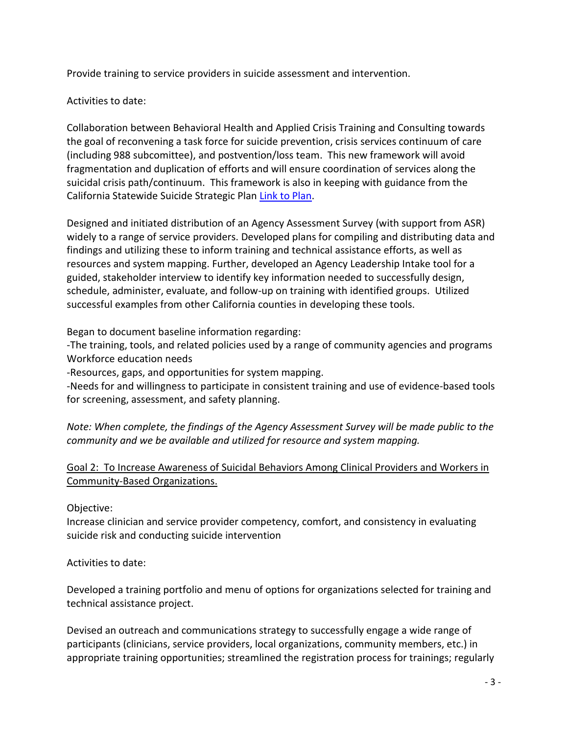Provide training to service providers in suicide assessment and intervention.

## Activities to date:

Collaboration between Behavioral Health and Applied Crisis Training and Consulting towards the goal of reconvening a task force for suicide prevention, crisis services continuum of care (including 988 subcomittee), and postvention/loss team. This new framework will avoid fragmentation and duplication of efforts and will ensure coordination of services along the suicidal crisis path/continuum. This framework is also in keeping with guidance from the California Statewide Suicide Strategic Pla[n Link to Plan.]((chrome-extension:/efaidnbmnnnibpcajpcglclefindmkaj/viewer.html?pdfurl=https%3A%2F%2Fmhsoac.ca.gov%2Fsites%2Fdefault%2Ffiles%2FSuicide%2520Prevention%2520Plan_Final.pdf&clen=4178319&chunk=true))

Designed and initiated distribution of an Agency Assessment Survey (with support from ASR) widely to a range of service providers. Developed plans for compiling and distributing data and findings and utilizing these to inform training and technical assistance efforts, as well as resources and system mapping. Further, developed an Agency Leadership Intake tool for a guided, stakeholder interview to identify key information needed to successfully design, schedule, administer, evaluate, and follow-up on training with identified groups. Utilized successful examples from other California counties in developing these tools.

Began to document baseline information regarding:

-The training, tools, and related policies used by a range of community agencies and programs Workforce education needs

-Resources, gaps, and opportunities for system mapping.

-Needs for and willingness to participate in consistent training and use of evidence-based tools for screening, assessment, and safety planning.

*Note: When complete, the findings of the Agency Assessment Survey will be made public to the community and we be available and utilized for resource and system mapping.*

# Goal 2: To Increase Awareness of Suicidal Behaviors Among Clinical Providers and Workers in Community-Based Organizations.

Objective:

Increase clinician and service provider competency, comfort, and consistency in evaluating suicide risk and conducting suicide intervention

Activities to date:

Developed a training portfolio and menu of options for organizations selected for training and technical assistance project.

Devised an outreach and communications strategy to successfully engage a wide range of participants (clinicians, service providers, local organizations, community members, etc.) in appropriate training opportunities; streamlined the registration process for trainings; regularly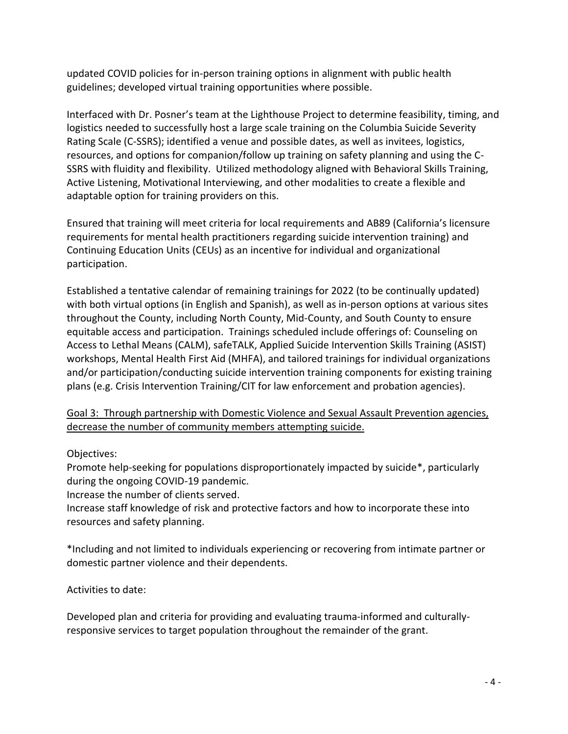updated COVID policies for in-person training options in alignment with public health guidelines; developed virtual training opportunities where possible.

Interfaced with Dr. Posner's team at the Lighthouse Project to determine feasibility, timing, and logistics needed to successfully host a large scale training on the Columbia Suicide Severity Rating Scale (C-SSRS); identified a venue and possible dates, as well as invitees, logistics, resources, and options for companion/follow up training on safety planning and using the C-SSRS with fluidity and flexibility. Utilized methodology aligned with Behavioral Skills Training, Active Listening, Motivational Interviewing, and other modalities to create a flexible and adaptable option for training providers on this.

Ensured that training will meet criteria for local requirements and AB89 (California's licensure requirements for mental health practitioners regarding suicide intervention training) and Continuing Education Units (CEUs) as an incentive for individual and organizational participation.

Established a tentative calendar of remaining trainings for 2022 (to be continually updated) with both virtual options (in English and Spanish), as well as in-person options at various sites throughout the County, including North County, Mid-County, and South County to ensure equitable access and participation. Trainings scheduled include offerings of: Counseling on Access to Lethal Means (CALM), safeTALK, Applied Suicide Intervention Skills Training (ASIST) workshops, Mental Health First Aid (MHFA), and tailored trainings for individual organizations and/or participation/conducting suicide intervention training components for existing training plans (e.g. Crisis Intervention Training/CIT for law enforcement and probation agencies).

Goal 3: Through partnership with Domestic Violence and Sexual Assault Prevention agencies, decrease the number of community members attempting suicide.

### Objectives:

Promote help-seeking for populations disproportionately impacted by suicide\*, particularly during the ongoing COVID-19 pandemic.

Increase the number of clients served.

Increase staff knowledge of risk and protective factors and how to incorporate these into resources and safety planning.

\*Including and not limited to individuals experiencing or recovering from intimate partner or domestic partner violence and their dependents.

### Activities to date:

Developed plan and criteria for providing and evaluating trauma-informed and culturallyresponsive services to target population throughout the remainder of the grant.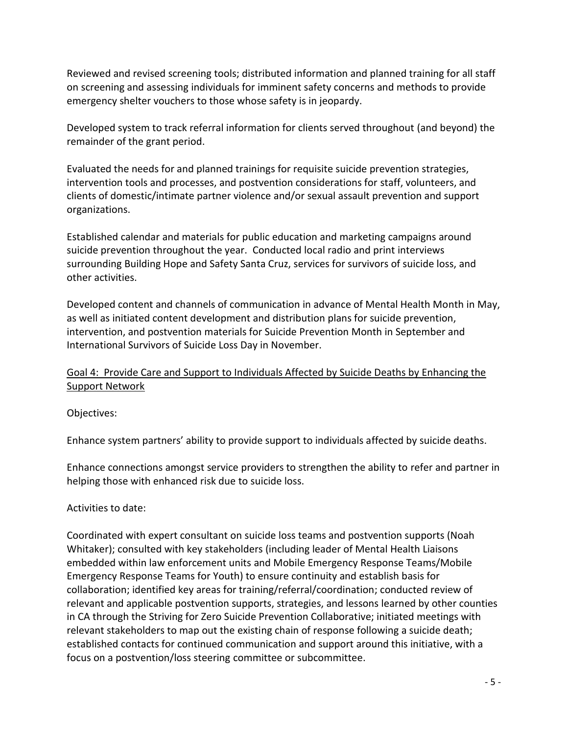Reviewed and revised screening tools; distributed information and planned training for all staff on screening and assessing individuals for imminent safety concerns and methods to provide emergency shelter vouchers to those whose safety is in jeopardy.

Developed system to track referral information for clients served throughout (and beyond) the remainder of the grant period.

Evaluated the needs for and planned trainings for requisite suicide prevention strategies, intervention tools and processes, and postvention considerations for staff, volunteers, and clients of domestic/intimate partner violence and/or sexual assault prevention and support organizations.

Established calendar and materials for public education and marketing campaigns around suicide prevention throughout the year. Conducted local radio and print interviews surrounding Building Hope and Safety Santa Cruz, services for survivors of suicide loss, and other activities.

Developed content and channels of communication in advance of Mental Health Month in May, as well as initiated content development and distribution plans for suicide prevention, intervention, and postvention materials for Suicide Prevention Month in September and International Survivors of Suicide Loss Day in November.

### Goal 4: Provide Care and Support to Individuals Affected by Suicide Deaths by Enhancing the Support Network

Objectives:

Enhance system partners' ability to provide support to individuals affected by suicide deaths.

Enhance connections amongst service providers to strengthen the ability to refer and partner in helping those with enhanced risk due to suicide loss.

Activities to date:

Coordinated with expert consultant on suicide loss teams and postvention supports (Noah Whitaker); consulted with key stakeholders (including leader of Mental Health Liaisons embedded within law enforcement units and Mobile Emergency Response Teams/Mobile Emergency Response Teams for Youth) to ensure continuity and establish basis for collaboration; identified key areas for training/referral/coordination; conducted review of relevant and applicable postvention supports, strategies, and lessons learned by other counties in CA through the Striving for Zero Suicide Prevention Collaborative; initiated meetings with relevant stakeholders to map out the existing chain of response following a suicide death; established contacts for continued communication and support around this initiative, with a focus on a postvention/loss steering committee or subcommittee.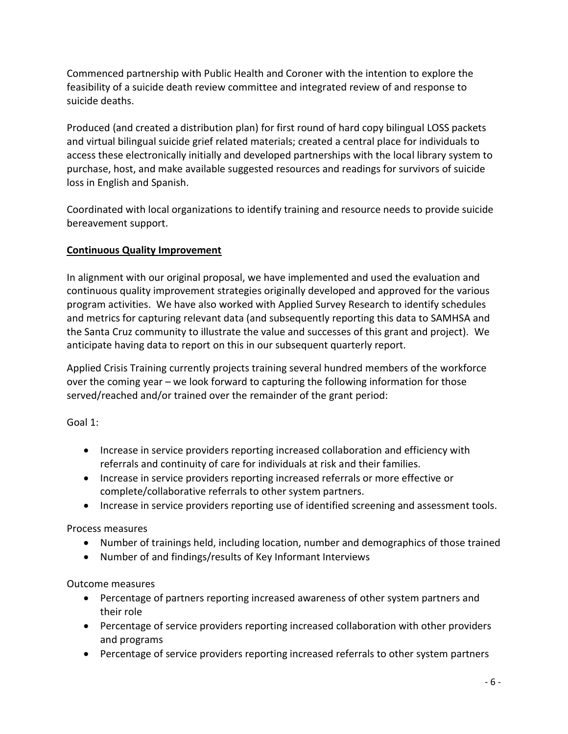Commenced partnership with Public Health and Coroner with the intention to explore the feasibility of a suicide death review committee and integrated review of and response to suicide deaths.

Produced (and created a distribution plan) for first round of hard copy bilingual LOSS packets and virtual bilingual suicide grief related materials; created a central place for individuals to access these electronically initially and developed partnerships with the local library system to purchase, host, and make available suggested resources and readings for survivors of suicide loss in English and Spanish.

Coordinated with local organizations to identify training and resource needs to provide suicide bereavement support.

# **Continuous Quality Improvement**

In alignment with our original proposal, we have implemented and used the evaluation and continuous quality improvement strategies originally developed and approved for the various program activities. We have also worked with Applied Survey Research to identify schedules and metrics for capturing relevant data (and subsequently reporting this data to SAMHSA and the Santa Cruz community to illustrate the value and successes of this grant and project). We anticipate having data to report on this in our subsequent quarterly report.

Applied Crisis Training currently projects training several hundred members of the workforce over the coming year – we look forward to capturing the following information for those served/reached and/or trained over the remainder of the grant period:

Goal 1:

- Increase in service providers reporting increased collaboration and efficiency with referrals and continuity of care for individuals at risk and their families.
- Increase in service providers reporting increased referrals or more effective or complete/collaborative referrals to other system partners.
- Increase in service providers reporting use of identified screening and assessment tools.

Process measures

- Number of trainings held, including location, number and demographics of those trained
- Number of and findings/results of Key Informant Interviews

Outcome measures

- Percentage of partners reporting increased awareness of other system partners and their role
- Percentage of service providers reporting increased collaboration with other providers and programs
- Percentage of service providers reporting increased referrals to other system partners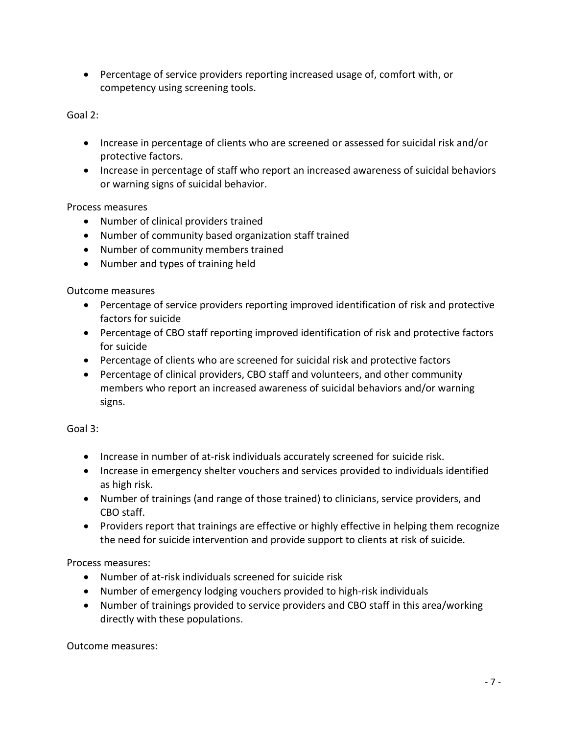• Percentage of service providers reporting increased usage of, comfort with, or competency using screening tools.

Goal 2:

- Increase in percentage of clients who are screened or assessed for suicidal risk and/or protective factors.
- Increase in percentage of staff who report an increased awareness of suicidal behaviors or warning signs of suicidal behavior.

Process measures

- Number of clinical providers trained
- Number of community based organization staff trained
- Number of community members trained
- Number and types of training held

Outcome measures

- Percentage of service providers reporting improved identification of risk and protective factors for suicide
- Percentage of CBO staff reporting improved identification of risk and protective factors for suicide
- Percentage of clients who are screened for suicidal risk and protective factors
- Percentage of clinical providers, CBO staff and volunteers, and other community members who report an increased awareness of suicidal behaviors and/or warning signs.

Goal 3:

- Increase in number of at-risk individuals accurately screened for suicide risk.
- Increase in emergency shelter vouchers and services provided to individuals identified as high risk.
- Number of trainings (and range of those trained) to clinicians, service providers, and CBO staff.
- Providers report that trainings are effective or highly effective in helping them recognize the need for suicide intervention and provide support to clients at risk of suicide.

Process measures:

- Number of at-risk individuals screened for suicide risk
- Number of emergency lodging vouchers provided to high-risk individuals
- Number of trainings provided to service providers and CBO staff in this area/working directly with these populations.

Outcome measures: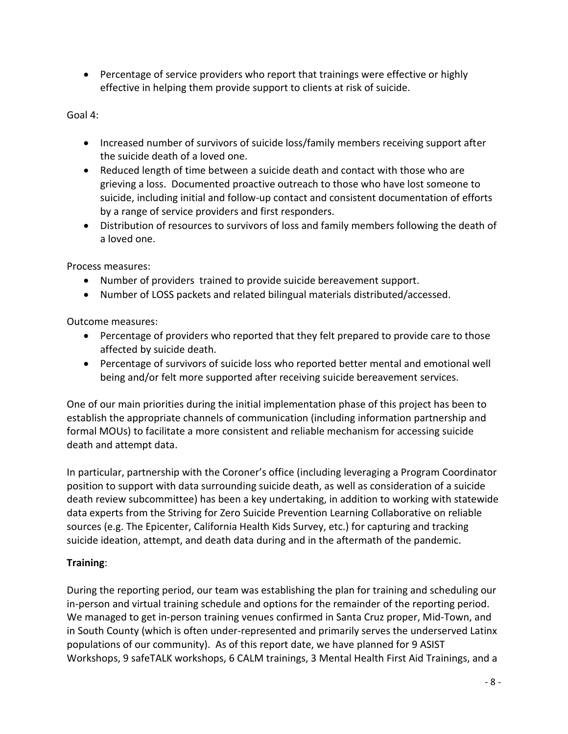• Percentage of service providers who report that trainings were effective or highly effective in helping them provide support to clients at risk of suicide.

Goal 4:

- Increased number of survivors of suicide loss/family members receiving support after the suicide death of a loved one.
- Reduced length of time between a suicide death and contact with those who are grieving a loss. Documented proactive outreach to those who have lost someone to suicide, including initial and follow-up contact and consistent documentation of efforts by a range of service providers and first responders.
- Distribution of resources to survivors of loss and family members following the death of a loved one.

Process measures:

- Number of providers trained to provide suicide bereavement support.
- Number of LOSS packets and related bilingual materials distributed/accessed.

Outcome measures:

- Percentage of providers who reported that they felt prepared to provide care to those affected by suicide death.
- Percentage of survivors of suicide loss who reported better mental and emotional well being and/or felt more supported after receiving suicide bereavement services.

One of our main priorities during the initial implementation phase of this project has been to establish the appropriate channels of communication (including information partnership and formal MOUs) to facilitate a more consistent and reliable mechanism for accessing suicide death and attempt data.

In particular, partnership with the Coroner's office (including leveraging a Program Coordinator position to support with data surrounding suicide death, as well as consideration of a suicide death review subcommittee) has been a key undertaking, in addition to working with statewide data experts from the Striving for Zero Suicide Prevention Learning Collaborative on reliable sources (e.g. The Epicenter, California Health Kids Survey, etc.) for capturing and tracking suicide ideation, attempt, and death data during and in the aftermath of the pandemic.

### **Training**:

During the reporting period, our team was establishing the plan for training and scheduling our in-person and virtual training schedule and options for the remainder of the reporting period. We managed to get in-person training venues confirmed in Santa Cruz proper, Mid-Town, and in South County (which is often under-represented and primarily serves the underserved Latinx populations of our community). As of this report date, we have planned for 9 ASIST Workshops, 9 safeTALK workshops, 6 CALM trainings, 3 Mental Health First Aid Trainings, and a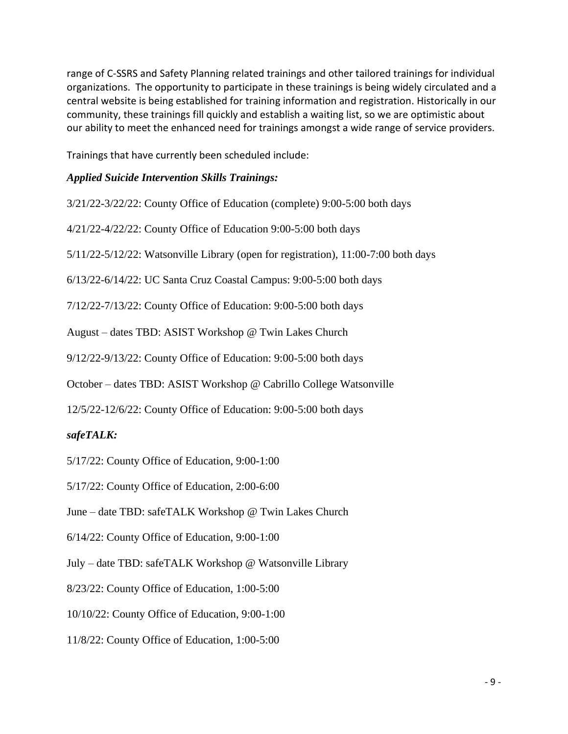range of C-SSRS and Safety Planning related trainings and other tailored trainings for individual organizations. The opportunity to participate in these trainings is being widely circulated and a central website is being established for training information and registration. Historically in our community, these trainings fill quickly and establish a waiting list, so we are optimistic about our ability to meet the enhanced need for trainings amongst a wide range of service providers.

Trainings that have currently been scheduled include:

# *Applied Suicide Intervention Skills Trainings:*

| 3/21/22-3/22/22: County Office of Education (complete) 9:00-5:00 both days              |
|-----------------------------------------------------------------------------------------|
| 4/21/22-4/22/22: County Office of Education 9:00-5:00 both days                         |
| $5/11/22 - 5/12/22$ : Watsonville Library (open for registration), 11:00-7:00 both days |
| 6/13/22-6/14/22: UC Santa Cruz Coastal Campus: 9:00-5:00 both days                      |
| 7/12/22-7/13/22: County Office of Education: 9:00-5:00 both days                        |
| August – dates TBD: ASIST Workshop @ Twin Lakes Church                                  |
| 9/12/22-9/13/22: County Office of Education: 9:00-5:00 both days                        |
| October – dates TBD: ASIST Workshop @ Cabrillo College Watsonville                      |
| 12/5/22-12/6/22: County Office of Education: 9:00-5:00 both days                        |
| safeTALK:                                                                               |
| $5/17/22$ : County Office of Education, 9:00-1:00                                       |
|                                                                                         |

5/17/22: County Office of Education, 2:00-6:00

June – date TBD: safeTALK Workshop @ Twin Lakes Church

6/14/22: County Office of Education, 9:00-1:00

July – date TBD: safeTALK Workshop @ Watsonville Library

8/23/22: County Office of Education, 1:00-5:00

10/10/22: County Office of Education, 9:00-1:00

11/8/22: County Office of Education, 1:00-5:00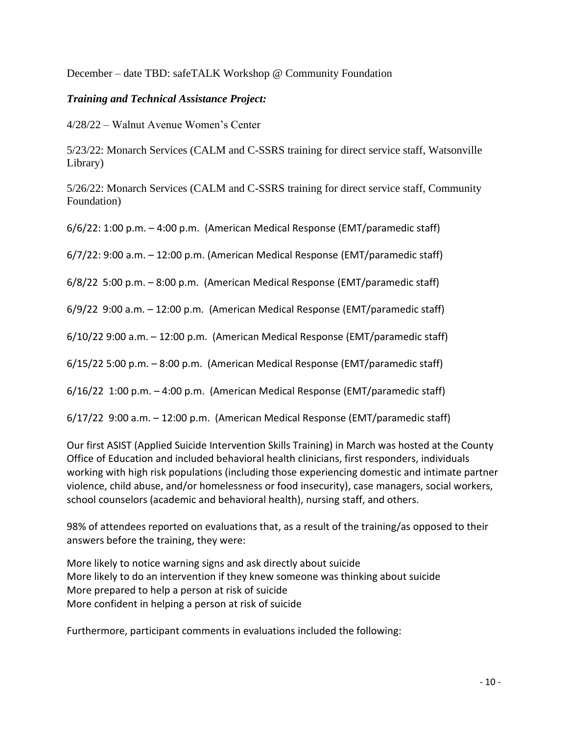December – date TBD: safeTALK Workshop @ Community Foundation

### *Training and Technical Assistance Project:*

4/28/22 – Walnut Avenue Women's Center

5/23/22: Monarch Services (CALM and C-SSRS training for direct service staff, Watsonville Library)

5/26/22: Monarch Services (CALM and C-SSRS training for direct service staff, Community Foundation)

6/6/22: 1:00 p.m. – 4:00 p.m. (American Medical Response (EMT/paramedic staff)

6/7/22: 9:00 a.m. – 12:00 p.m. (American Medical Response (EMT/paramedic staff)

6/8/22 5:00 p.m. – 8:00 p.m. (American Medical Response (EMT/paramedic staff)

6/9/22 9:00 a.m. – 12:00 p.m. (American Medical Response (EMT/paramedic staff)

6/10/22 9:00 a.m. – 12:00 p.m. (American Medical Response (EMT/paramedic staff)

6/15/22 5:00 p.m. – 8:00 p.m. (American Medical Response (EMT/paramedic staff)

6/16/22 1:00 p.m. – 4:00 p.m. (American Medical Response (EMT/paramedic staff)

6/17/22 9:00 a.m. – 12:00 p.m. (American Medical Response (EMT/paramedic staff)

Our first ASIST (Applied Suicide Intervention Skills Training) in March was hosted at the County Office of Education and included behavioral health clinicians, first responders, individuals working with high risk populations (including those experiencing domestic and intimate partner violence, child abuse, and/or homelessness or food insecurity), case managers, social workers, school counselors (academic and behavioral health), nursing staff, and others.

98% of attendees reported on evaluations that, as a result of the training/as opposed to their answers before the training, they were:

More likely to notice warning signs and ask directly about suicide More likely to do an intervention if they knew someone was thinking about suicide More prepared to help a person at risk of suicide More confident in helping a person at risk of suicide

Furthermore, participant comments in evaluations included the following: